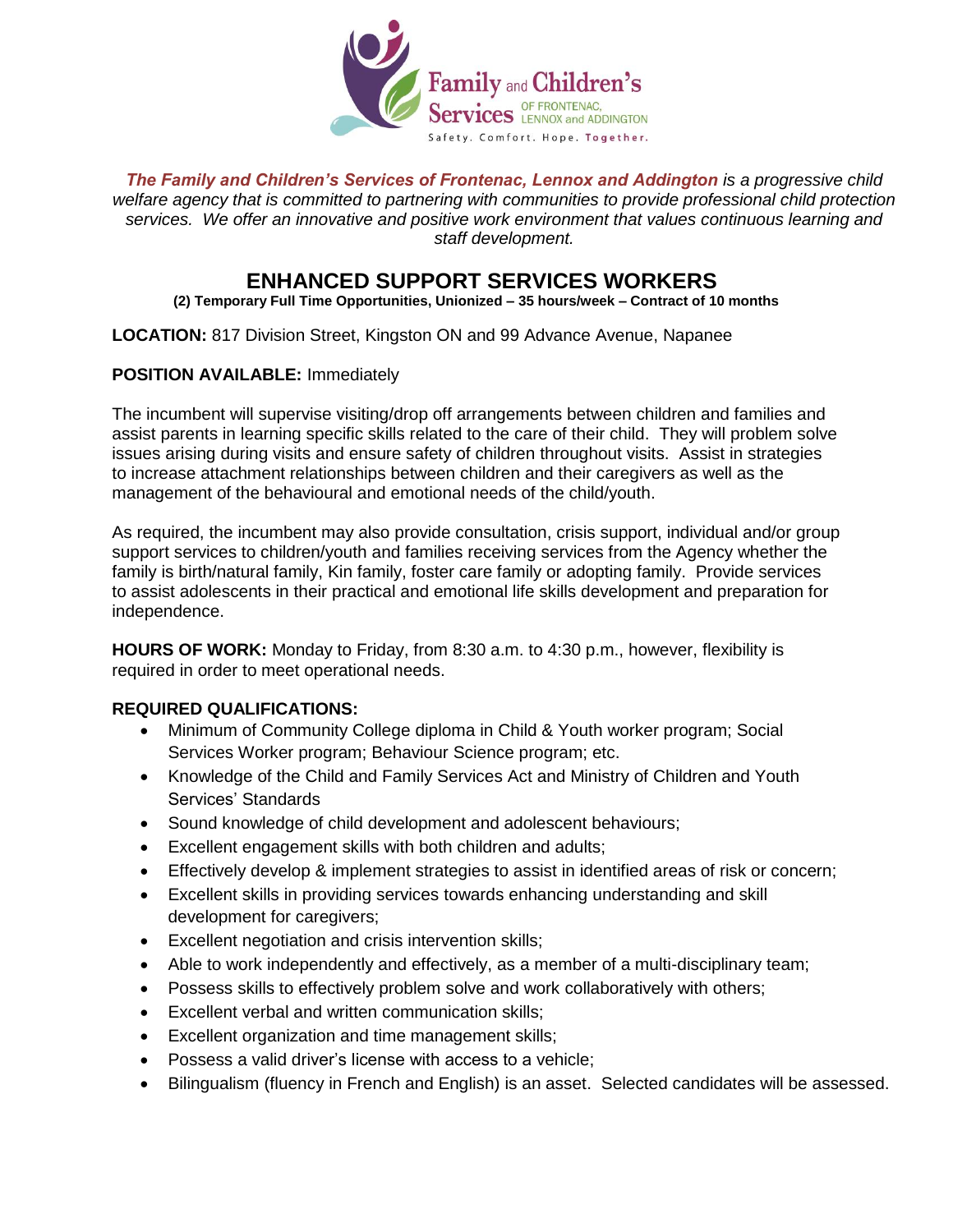

*The Family and Children's Services of Frontenac, Lennox and Addington is a progressive child welfare agency that is committed to partnering with communities to provide professional child protection services. We offer an innovative and positive work environment that values continuous learning and staff development.* 

## **ENHANCED SUPPORT SERVICES WORKERS**

**(2) Temporary Full Time Opportunities, Unionized – 35 hours/week – Contract of 10 months**

## **LOCATION:** 817 Division Street, Kingston ON and 99 Advance Avenue, Napanee

## **POSITION AVAILABLE:** Immediately

The incumbent will supervise visiting/drop off arrangements between children and families and assist parents in learning specific skills related to the care of their child. They will problem solve issues arising during visits and ensure safety of children throughout visits. Assist in strategies to increase attachment relationships between children and their caregivers as well as the management of the behavioural and emotional needs of the child/youth.

As required, the incumbent may also provide consultation, crisis support, individual and/or group support services to children/youth and families receiving services from the Agency whether the family is birth/natural family, Kin family, foster care family or adopting family. Provide services to assist adolescents in their practical and emotional life skills development and preparation for independence.

**HOURS OF WORK:** Monday to Friday, from 8:30 a.m. to 4:30 p.m., however, flexibility is required in order to meet operational needs.

## **REQUIRED QUALIFICATIONS:**

- Minimum of Community College diploma in Child & Youth worker program; Social Services Worker program; Behaviour Science program; etc.
- Knowledge of the Child and Family Services Act and Ministry of Children and Youth Services' Standards
- Sound knowledge of child development and adolescent behaviours;
- Excellent engagement skills with both children and adults;
- Effectively develop & implement strategies to assist in identified areas of risk or concern;
- Excellent skills in providing services towards enhancing understanding and skill development for caregivers;
- Excellent negotiation and crisis intervention skills;
- Able to work independently and effectively, as a member of a multi-disciplinary team;
- Possess skills to effectively problem solve and work collaboratively with others;
- Excellent verbal and written communication skills;
- Excellent organization and time management skills;
- Possess a valid driver's license with access to a vehicle;
- Bilingualism (fluency in French and English) is an asset. Selected candidates will be assessed.